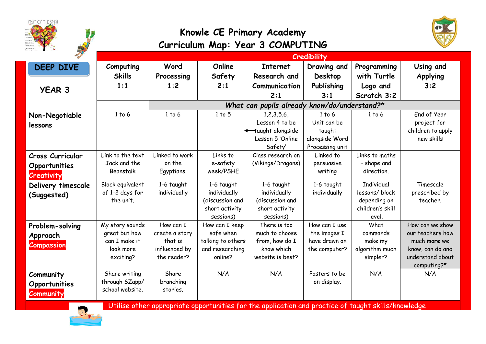| FRUIT OF THE SPIRI                                     | Knowle CE Primary Academy<br>Curriculum Map: Year 3 COMPUTING               |                                                                        |                                                                                |                                                                                    |                                                                          |                                                                                  |                                                                                                            |
|--------------------------------------------------------|-----------------------------------------------------------------------------|------------------------------------------------------------------------|--------------------------------------------------------------------------------|------------------------------------------------------------------------------------|--------------------------------------------------------------------------|----------------------------------------------------------------------------------|------------------------------------------------------------------------------------------------------------|
|                                                        | Credibility                                                                 |                                                                        |                                                                                |                                                                                    |                                                                          |                                                                                  |                                                                                                            |
| <b>DEEP DIVE</b>                                       | Computing<br><b>Skills</b>                                                  | Word<br>Processing                                                     | Online<br>Safety                                                               | <b>Internet</b><br>Research and                                                    | Drawing and<br>Desktop                                                   | Programming<br>with Turtle                                                       | Using and<br><b>Applying</b>                                                                               |
|                                                        | 1:1                                                                         | 1:2                                                                    | 2:1                                                                            | Communication                                                                      | Publishing                                                               | Logo and                                                                         | 3:2                                                                                                        |
| <b>YEAR 3</b>                                          |                                                                             |                                                                        |                                                                                | 2:1                                                                                | 3:1                                                                      | Scratch 3:2                                                                      |                                                                                                            |
|                                                        |                                                                             |                                                                        |                                                                                | What can pupils already                                                            | know/do/understand?*                                                     |                                                                                  |                                                                                                            |
| Non-Negotiable<br>lessons                              | 1 to 6                                                                      | 1 to 6                                                                 | 1 to 5                                                                         | 1,2,3,5,6,<br>Lesson 4 to be<br>taught alongside<br>Lesson 5 'Online<br>Safety'    | $1$ to $6$<br>Unit can be<br>taught<br>alongside Word<br>Processing unit | 1 to 6                                                                           | End of Year<br>project for<br>children to apply<br>new skills                                              |
| Cross Curricular<br>Opportunities<br><b>Creativity</b> | Link to the text<br>Jack and the<br>Beanstalk                               | Linked to work<br>on the<br>Egyptians.                                 | Links to<br>e-safety<br>week/PSHE                                              | Class research on<br>(Vikings/Dragons)                                             | Linked to<br>persuasive<br>writing                                       | Links to maths<br>- shape and<br>direction.                                      |                                                                                                            |
| Delivery timescale<br>(Suggested)                      | <b>Block equivalent</b><br>of 1-2 days for<br>the unit.                     | 1-6 taught<br>individually                                             | 1-6 taught<br>individually<br>(discussion and<br>short activity<br>sessions)   | 1-6 taught<br>individually<br>(discussion and<br>short activity<br>sessions)       | 1-6 taught<br>individually                                               | <b>Individual</b><br>lessons/block<br>depending on<br>children's skill<br>level. | Timescale<br>prescribed by<br>teacher.                                                                     |
| Problem-solving<br>Approach<br><b>Compassion</b>       | My story sounds<br>great but how<br>can I make it<br>look more<br>exciting? | How can I<br>create a story<br>that is<br>influenced by<br>the reader? | How can I keep<br>safe when<br>talking to others<br>and researching<br>online? | There is too<br>much to choose<br>from, how do I<br>know which<br>website is best? | How can I use<br>the images I<br>have drawn on<br>the computer?          | What<br>commands<br>make my<br>algorithm much<br>simpler?                        | How can we show<br>our teachers how<br>much more we<br>know, can do and<br>understand about<br>computing?* |
| Community<br>Opportunities<br><b>Community</b>         | Share writing<br>through SZapp/<br>school website.                          | Share<br>branching<br>stories.                                         | N/A                                                                            | N/A                                                                                | Posters to be<br>on display.                                             | N/A                                                                              | N/A                                                                                                        |

 $\overline{\phantom{a}}$ 



Utilise other appropriate opportunities for the application and practice of taught skills/knowledge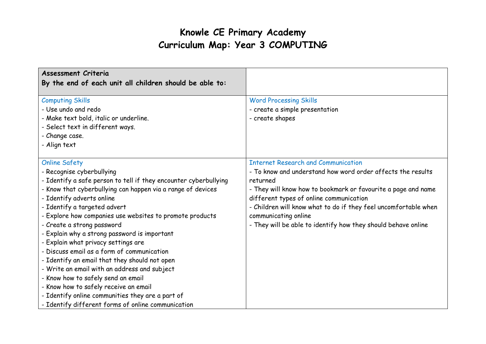| Assessment Criteria<br>By the end of each unit all children should be able to:                                                                                                                                                                                                                                                                                                                                                                                                                                                                                                                                                                                                                                                                                             |                                                                                                                                                                                                                                                                                                                                                                                               |
|----------------------------------------------------------------------------------------------------------------------------------------------------------------------------------------------------------------------------------------------------------------------------------------------------------------------------------------------------------------------------------------------------------------------------------------------------------------------------------------------------------------------------------------------------------------------------------------------------------------------------------------------------------------------------------------------------------------------------------------------------------------------------|-----------------------------------------------------------------------------------------------------------------------------------------------------------------------------------------------------------------------------------------------------------------------------------------------------------------------------------------------------------------------------------------------|
| <b>Computing Skills</b><br>- Use undo and redo<br>- Make text bold, italic or underline.<br>- Select text in different ways.<br>- Change case.<br>- Align text                                                                                                                                                                                                                                                                                                                                                                                                                                                                                                                                                                                                             | <b>Word Processing Skills</b><br>- create a simple presentation<br>- create shapes                                                                                                                                                                                                                                                                                                            |
| <b>Online Safety</b><br>- Recognise cyberbullying<br>- Identify a safe person to tell if they encounter cyberbullying<br>- Know that cyberbullying can happen via a range of devices<br>- Identify adverts online<br>- Identify a targeted advert<br>- Explore how companies use websites to promote products<br>- Create a strong password<br>- Explain why a strong password is important<br>- Explain what privacy settings are<br>- Discuss email as a form of communication<br>- Identify an email that they should not open<br>- Write an email with an address and subject<br>- Know how to safely send an email<br>- Know how to safely receive an email<br>- Identify online communities they are a part of<br>- Identify different forms of online communication | <b>Internet Research and Communication</b><br>- To know and understand how word order affects the results<br>returned<br>- They will know how to bookmark or favourite a page and name<br>different types of online communication<br>- Children will know what to do if they feel uncomfortable when<br>communicating online<br>- They will be able to identify how they should behave online |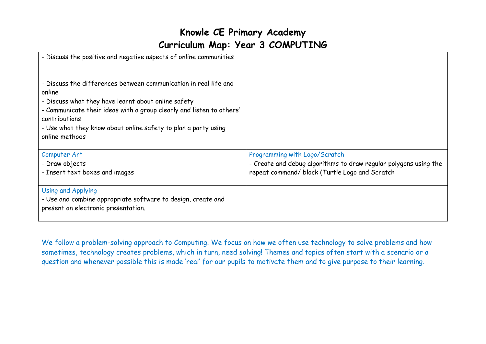| - Discuss the positive and negative aspects of online communities                                                                                                                                                                                                                                              |                                                                                                                                                     |
|----------------------------------------------------------------------------------------------------------------------------------------------------------------------------------------------------------------------------------------------------------------------------------------------------------------|-----------------------------------------------------------------------------------------------------------------------------------------------------|
| - Discuss the differences between communication in real life and<br>online<br>- Discuss what they have learnt about online safety<br>- Communicate their ideas with a group clearly and listen to others'<br>contributions<br>- Use what they know about online safety to plan a party using<br>online methods |                                                                                                                                                     |
| Computer Art<br>- Draw objects<br>- Insert text boxes and images                                                                                                                                                                                                                                               | Programming with Logo/Scratch<br>- Create and debug algorithms to draw regular polygons using the<br>repeat command/ block (Turtle Logo and Scratch |
| Using and Applying<br>- Use and combine appropriate software to design, create and<br>present an electronic presentation.                                                                                                                                                                                      |                                                                                                                                                     |

We follow a problem-solving approach to Computing. We focus on how we often use technology to solve problems and how sometimes, technology creates problems, which in turn, need solving! Themes and topics often start with a scenario or a question and whenever possible this is made 'real' for our pupils to motivate them and to give purpose to their learning.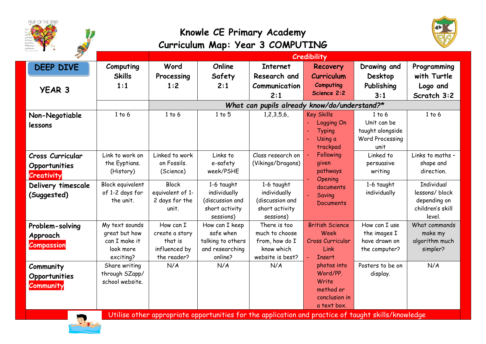| FRUIT OF THE SPIRIT                                    | Knowle CE Primary Academy<br>Curriculum Map: Year 3 COMPUTING              |                                                                        |                                                                                |                                                                                    |                                                                               |                                                                      |                                                                                  |
|--------------------------------------------------------|----------------------------------------------------------------------------|------------------------------------------------------------------------|--------------------------------------------------------------------------------|------------------------------------------------------------------------------------|-------------------------------------------------------------------------------|----------------------------------------------------------------------|----------------------------------------------------------------------------------|
|                                                        | Credibility                                                                |                                                                        |                                                                                |                                                                                    |                                                                               |                                                                      |                                                                                  |
| <b>DEEP DIVE</b>                                       | Computing<br><b>Skills</b>                                                 | Word<br>Processing                                                     | Online<br>Safety                                                               | <b>Internet</b><br>Research and                                                    | Recovery<br><b>Curriculum</b>                                                 | Drawing and<br>Desktop                                               | Programming<br>with Turtle                                                       |
| <b>YEAR 3</b>                                          | 1:1                                                                        | 1:2                                                                    | 2:1                                                                            | Communication<br>2:1                                                               | Computing<br>Science 2:2                                                      | Publishing<br>3:1                                                    | Logo and<br>Scratch 3:2                                                          |
|                                                        |                                                                            | What can pupils already<br>know/do/understand?*                        |                                                                                |                                                                                    |                                                                               |                                                                      |                                                                                  |
| Non-Negotiable<br>lessons                              | 1 to 6                                                                     | 1 to 6                                                                 | 1 to 5                                                                         | 1,2,3,5,6,                                                                         | <b>Key Skills</b><br>Logging On<br><b>Typing</b><br>Using a<br>trackpad       | 1 to 6<br>Unit can be<br>taught alongside<br>Word Processing<br>unit | 1 to 6                                                                           |
| Cross Curricular<br>Opportunities<br><b>Creativity</b> | Link to work on<br>the Eyptians.<br>(History)                              | Linked to work<br>on Fossils.<br>(Science)                             | Links to<br>e-safety<br>week/PSHE                                              | Class research on<br>(Vikings/Dragons)                                             | Following<br>given<br>pathways<br>Opening                                     | Linked to<br>persuasive<br>writing                                   | Links to maths -<br>shape and<br>direction.                                      |
| Delivery timescale<br>(Suggested)                      | Block equivalent<br>of 1-2 days for<br>the unit.                           | <b>Block</b><br>equivalent of 1-<br>2 days for the<br>unit.            | 1-6 taught<br>individually<br>(discussion and<br>short activity<br>sessions)   | 1-6 taught<br>individually<br>(discussion and<br>short activity<br>sessions)       | documents<br>Saving<br>Documents                                              | 1-6 taught<br>individually                                           | <b>Individual</b><br>lessons/block<br>depending on<br>children's skill<br>level. |
| Problem-solving<br>Approach<br><b>Compassion</b>       | My text sounds<br>great but how<br>can I make it<br>look more<br>exciting? | How can I<br>create a story<br>that is<br>influenced by<br>the reader? | How can I keep<br>safe when<br>talking to others<br>and researching<br>online? | There is too<br>much to choose<br>from, how do I<br>know which<br>website is best? | <b>British Science</b><br>Week<br>Cross Curricular<br>Link<br><b>Insert</b>   | How can I use<br>the images I<br>have drawn on<br>the computer?      | What commands<br>make my<br>algorithm much<br>simpler?                           |
| Community<br>Opportunities<br><b>Community</b>         | Share writing<br>through SZapp/<br>school website.                         | N/A                                                                    | N/A                                                                            | N/A                                                                                | photos into<br>Word/PP.<br>Write<br>method or<br>conclusion in<br>a text box. | Posters to be on<br>display.                                         | N/A                                                                              |



Utilise other appropriate opportunities for the application and practice of taught skills/knowledge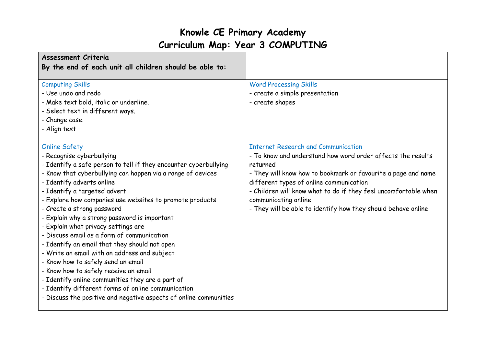| <b>Assessment Criteria</b>                                                                                                                                                                                                                                                                                                                                                                                                                                                                                                                                                                                                                                                                                                                                                                 |                                                                                                                                                                                                                                                                                  |
|--------------------------------------------------------------------------------------------------------------------------------------------------------------------------------------------------------------------------------------------------------------------------------------------------------------------------------------------------------------------------------------------------------------------------------------------------------------------------------------------------------------------------------------------------------------------------------------------------------------------------------------------------------------------------------------------------------------------------------------------------------------------------------------------|----------------------------------------------------------------------------------------------------------------------------------------------------------------------------------------------------------------------------------------------------------------------------------|
| By the end of each unit all children should be able to:                                                                                                                                                                                                                                                                                                                                                                                                                                                                                                                                                                                                                                                                                                                                    |                                                                                                                                                                                                                                                                                  |
| <b>Computing Skills</b><br>- Use undo and redo<br>- Make text bold, italic or underline.<br>- Select text in different ways.<br>- Change case.<br>- Align text<br><b>Online Safety</b><br>- Recognise cyberbullying                                                                                                                                                                                                                                                                                                                                                                                                                                                                                                                                                                        | <b>Word Processing Skills</b><br>- create a simple presentation<br>- create shapes<br><b>Internet Research and Communication</b><br>- To know and understand how word order affects the results                                                                                  |
| - Identify a safe person to tell if they encounter cyberbullying<br>- Know that cyberbullying can happen via a range of devices<br>- Identify adverts online<br>- Identify a targeted advert<br>- Explore how companies use websites to promote products<br>- Create a strong password<br>- Explain why a strong password is important<br>- Explain what privacy settings are<br>- Discuss email as a form of communication<br>- Identify an email that they should not open<br>- Write an email with an address and subject<br>- Know how to safely send an email<br>- Know how to safely receive an email<br>- Identify online communities they are a part of<br>- Identify different forms of online communication<br>- Discuss the positive and negative aspects of online communities | returned<br>- They will know how to bookmark or favourite a page and name<br>different types of online communication<br>- Children will know what to do if they feel uncomfortable when<br>communicating online<br>- They will be able to identify how they should behave online |